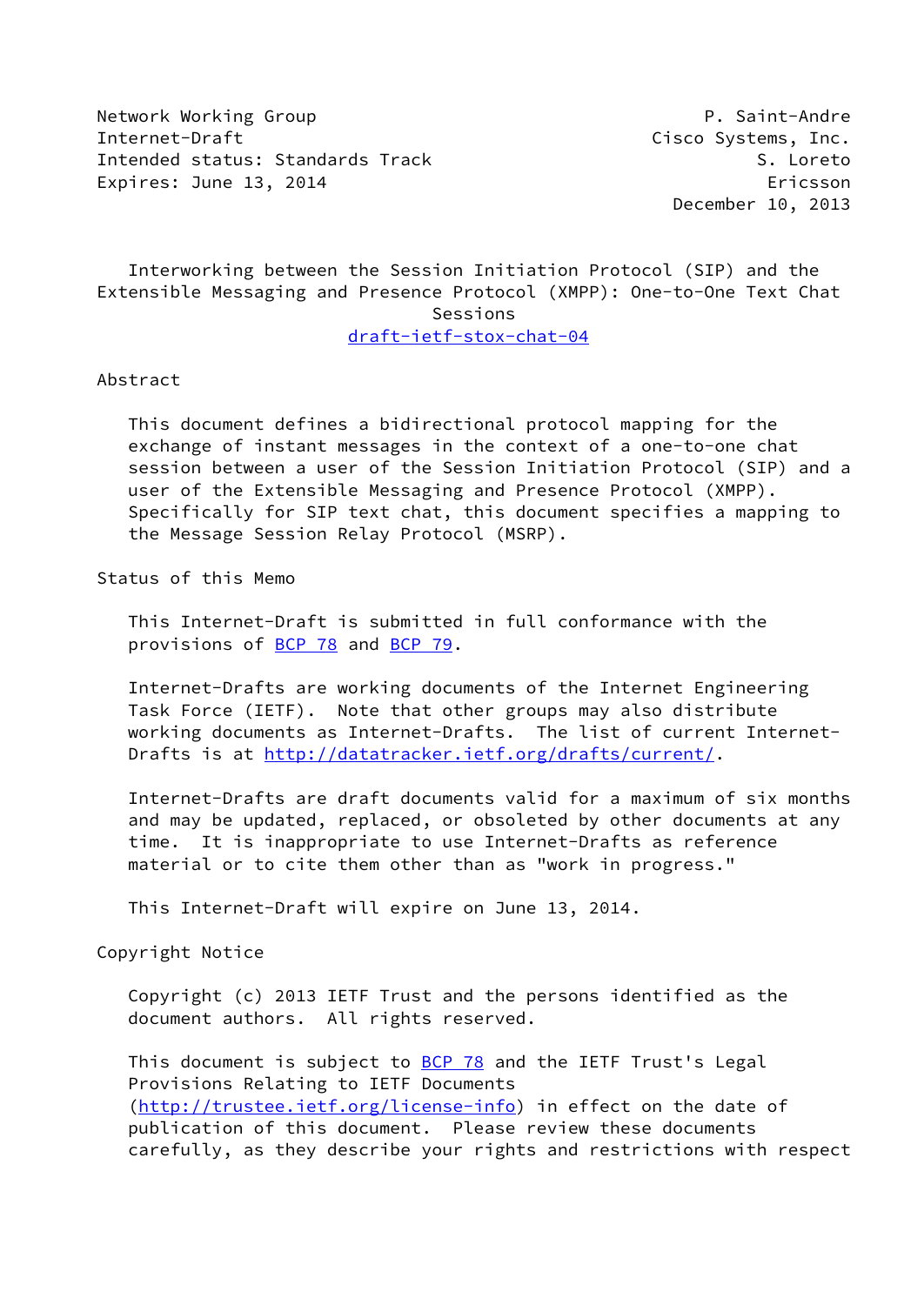Network Working Group **P. Saint-Andre** Internet-Draft **Cisco Systems**, Inc. Intended status: Standards Track S. Loreto Expires: June 13, 2014 **Expires: 1997** 

December 10, 2013

 Interworking between the Session Initiation Protocol (SIP) and the Extensible Messaging and Presence Protocol (XMPP): One-to-One Text Chat Sessions

[draft-ietf-stox-chat-04](https://datatracker.ietf.org/doc/pdf/draft-ietf-stox-chat-04)

### Abstract

 This document defines a bidirectional protocol mapping for the exchange of instant messages in the context of a one-to-one chat session between a user of the Session Initiation Protocol (SIP) and a user of the Extensible Messaging and Presence Protocol (XMPP). Specifically for SIP text chat, this document specifies a mapping to the Message Session Relay Protocol (MSRP).

Status of this Memo

 This Internet-Draft is submitted in full conformance with the provisions of [BCP 78](https://datatracker.ietf.org/doc/pdf/bcp78) and [BCP 79](https://datatracker.ietf.org/doc/pdf/bcp79).

 Internet-Drafts are working documents of the Internet Engineering Task Force (IETF). Note that other groups may also distribute working documents as Internet-Drafts. The list of current Internet- Drafts is at<http://datatracker.ietf.org/drafts/current/>.

 Internet-Drafts are draft documents valid for a maximum of six months and may be updated, replaced, or obsoleted by other documents at any time. It is inappropriate to use Internet-Drafts as reference material or to cite them other than as "work in progress."

This Internet-Draft will expire on June 13, 2014.

Copyright Notice

 Copyright (c) 2013 IETF Trust and the persons identified as the document authors. All rights reserved.

This document is subject to **[BCP 78](https://datatracker.ietf.org/doc/pdf/bcp78)** and the IETF Trust's Legal Provisions Relating to IETF Documents [\(http://trustee.ietf.org/license-info](http://trustee.ietf.org/license-info)) in effect on the date of publication of this document. Please review these documents carefully, as they describe your rights and restrictions with respect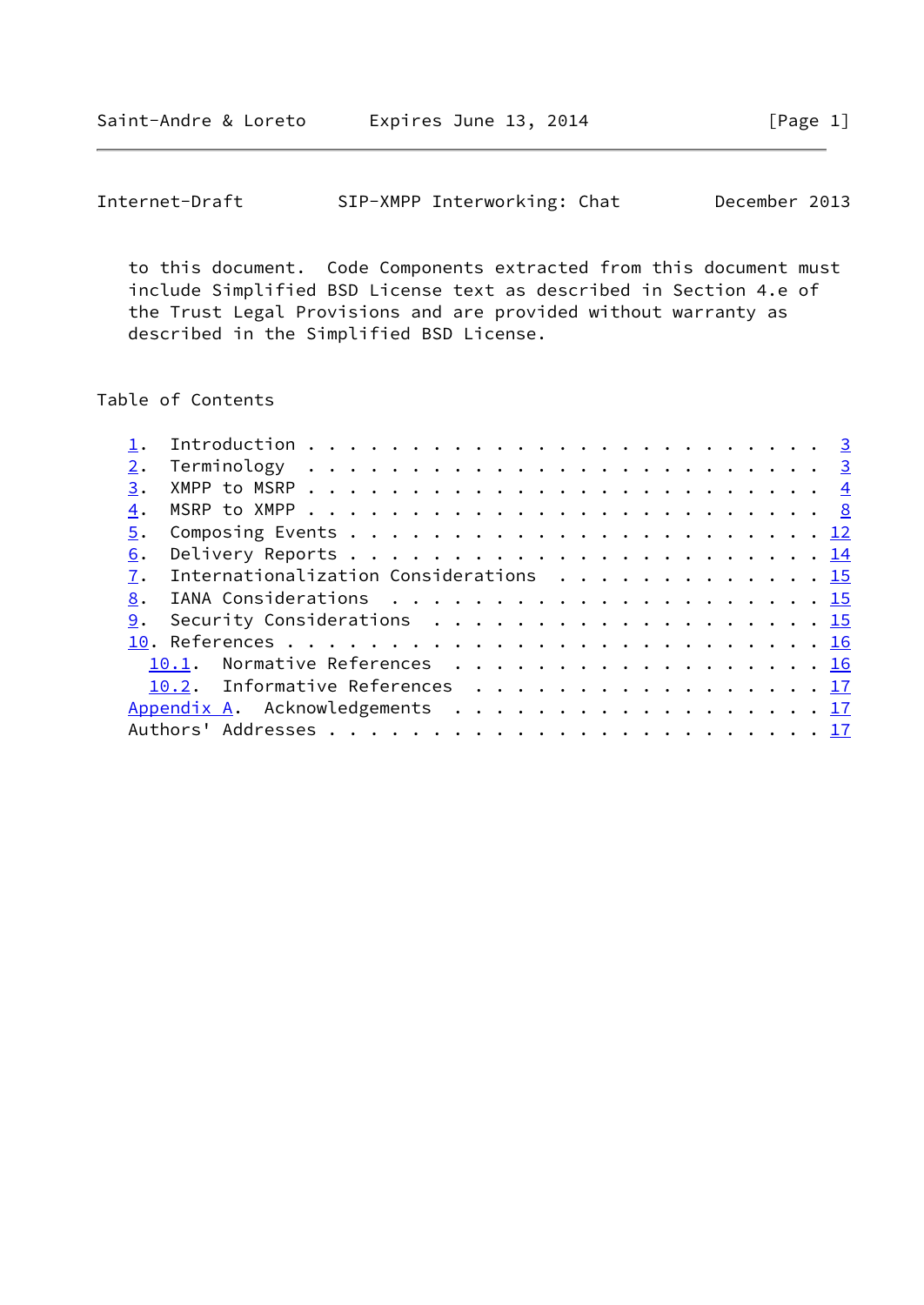to this document. Code Components extracted from this document must include Simplified BSD License text as described in Section 4.e of the Trust Legal Provisions and are provided without warranty as described in the Simplified BSD License.

# Table of Contents

| 2. |                                        |  |  |  |  |  |  |  |  |  |  |  |  |  |
|----|----------------------------------------|--|--|--|--|--|--|--|--|--|--|--|--|--|
| 3. |                                        |  |  |  |  |  |  |  |  |  |  |  |  |  |
| 4. |                                        |  |  |  |  |  |  |  |  |  |  |  |  |  |
| 5. |                                        |  |  |  |  |  |  |  |  |  |  |  |  |  |
| 6. |                                        |  |  |  |  |  |  |  |  |  |  |  |  |  |
| 7. | Internationalization Considerations 15 |  |  |  |  |  |  |  |  |  |  |  |  |  |
| 8. |                                        |  |  |  |  |  |  |  |  |  |  |  |  |  |
|    | 9. Security Considerations 15          |  |  |  |  |  |  |  |  |  |  |  |  |  |
|    |                                        |  |  |  |  |  |  |  |  |  |  |  |  |  |
|    | 10.1. Normative References 16          |  |  |  |  |  |  |  |  |  |  |  |  |  |
|    | 10.2. Informative References 17        |  |  |  |  |  |  |  |  |  |  |  |  |  |
|    | Appendix A. Acknowledgements 17        |  |  |  |  |  |  |  |  |  |  |  |  |  |
|    |                                        |  |  |  |  |  |  |  |  |  |  |  |  |  |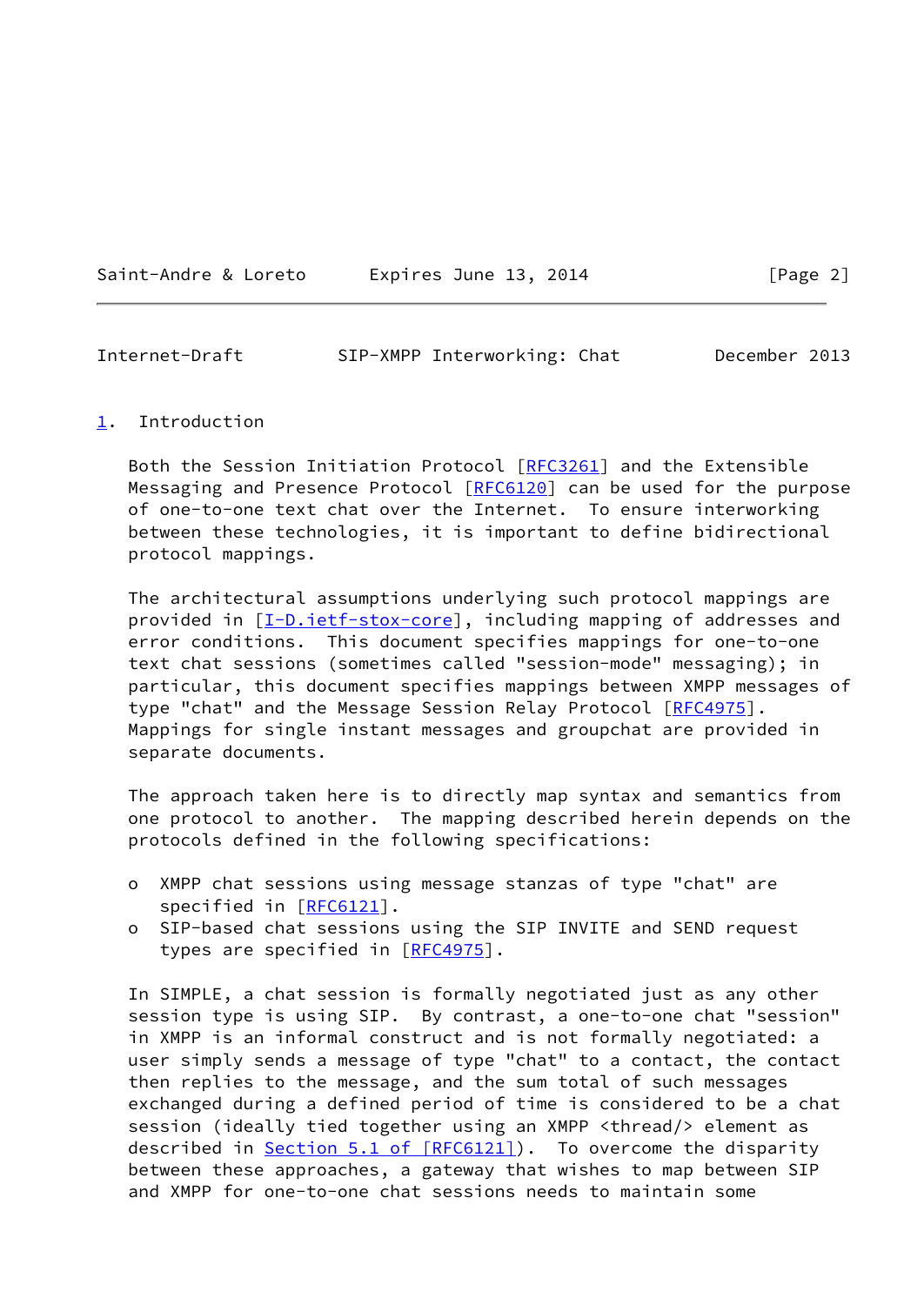<span id="page-2-1"></span>

| Expires June 13, 2014<br>Saint-Andre & Loreto |  |  |  |
|-----------------------------------------------|--|--|--|
|-----------------------------------------------|--|--|--|

#### <span id="page-2-0"></span>[1](#page-2-0). Introduction

 Both the Session Initiation Protocol [\[RFC3261](https://datatracker.ietf.org/doc/pdf/rfc3261)] and the Extensible Messaging and Presence Protocol [\[RFC6120](https://datatracker.ietf.org/doc/pdf/rfc6120)] can be used for the purpose of one-to-one text chat over the Internet. To ensure interworking between these technologies, it is important to define bidirectional protocol mappings.

 The architectural assumptions underlying such protocol mappings are provided in  $[I-D.iett-stox-core]$ , including mapping of addresses and error conditions. This document specifies mappings for one-to-one text chat sessions (sometimes called "session-mode" messaging); in particular, this document specifies mappings between XMPP messages of type "chat" and the Message Session Relay Protocol [[RFC4975\]](https://datatracker.ietf.org/doc/pdf/rfc4975). Mappings for single instant messages and groupchat are provided in separate documents.

 The approach taken here is to directly map syntax and semantics from one protocol to another. The mapping described herein depends on the protocols defined in the following specifications:

- o XMPP chat sessions using message stanzas of type "chat" are specified in [\[RFC6121](https://datatracker.ietf.org/doc/pdf/rfc6121)].
- o SIP-based chat sessions using the SIP INVITE and SEND request types are specified in [[RFC4975](https://datatracker.ietf.org/doc/pdf/rfc4975)].

 In SIMPLE, a chat session is formally negotiated just as any other session type is using SIP. By contrast, a one-to-one chat "session" in XMPP is an informal construct and is not formally negotiated: a user simply sends a message of type "chat" to a contact, the contact then replies to the message, and the sum total of such messages exchanged during a defined period of time is considered to be a chat session (ideally tied together using an XMPP <thread/> element as described in Section [5.1 of \[RFC6121\]](https://datatracker.ietf.org/doc/pdf/rfc6121#section-5.1)). To overcome the disparity between these approaches, a gateway that wishes to map between SIP and XMPP for one-to-one chat sessions needs to maintain some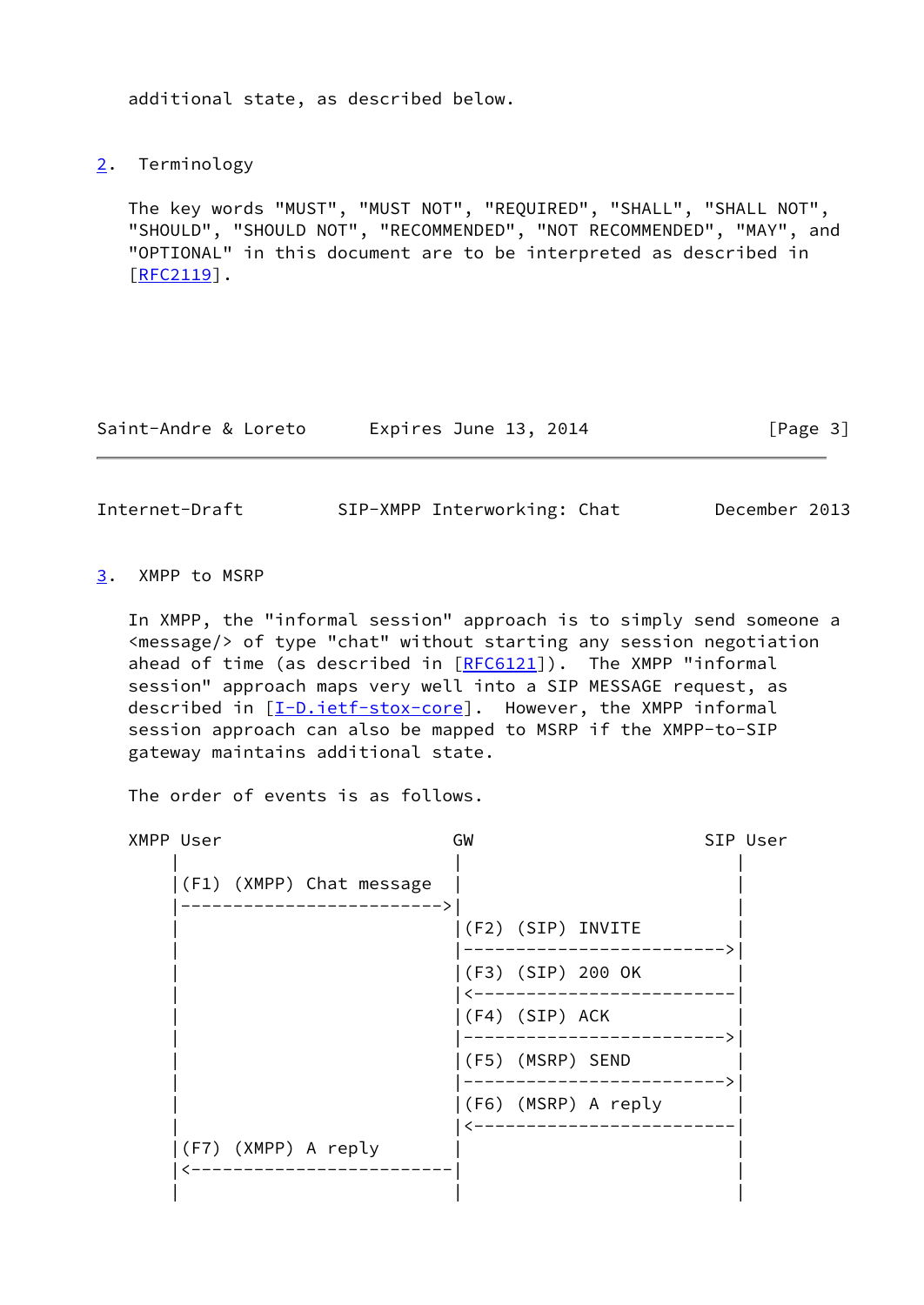additional state, as described below.

<span id="page-3-0"></span>[2](#page-3-0). Terminology

 The key words "MUST", "MUST NOT", "REQUIRED", "SHALL", "SHALL NOT", "SHOULD", "SHOULD NOT", "RECOMMENDED", "NOT RECOMMENDED", "MAY", and "OPTIONAL" in this document are to be interpreted as described in  $[REC2119]$ .

Saint-Andre & Loreto Expires June 13, 2014 [Page 3]

<span id="page-3-2"></span>Internet-Draft SIP-XMPP Interworking: Chat December 2013

<span id="page-3-1"></span>[3](#page-3-1). XMPP to MSRP

 In XMPP, the "informal session" approach is to simply send someone a <message/> of type "chat" without starting any session negotiation ahead of time (as described in [\[RFC6121](https://datatracker.ietf.org/doc/pdf/rfc6121)]). The XMPP "informal session" approach maps very well into a SIP MESSAGE request, as described in [\[I-D.ietf-stox-core\]](#page-17-3). However, the XMPP informal session approach can also be mapped to MSRP if the XMPP-to-SIP gateway maintains additional state.

The order of events is as follows.

| XMPP User |                     |                          | GW |                |                        | SIP User |
|-----------|---------------------|--------------------------|----|----------------|------------------------|----------|
|           |                     | (F1) (XMPP) Chat message |    |                |                        |          |
|           |                     |                          |    |                | $ (F2)$ $(SIP)$ INVITE |          |
|           |                     |                          |    |                | (F3) (SIP) 200 OK      |          |
|           |                     |                          |    | (F4) (SIP) ACK |                        |          |
|           |                     |                          |    |                | (F5) (MSRP) SEND       |          |
|           |                     |                          |    |                | (F6) (MSRP) A reply    |          |
|           | (F7) (XMPP) A reply |                          |    |                |                        |          |
|           |                     |                          |    |                |                        |          |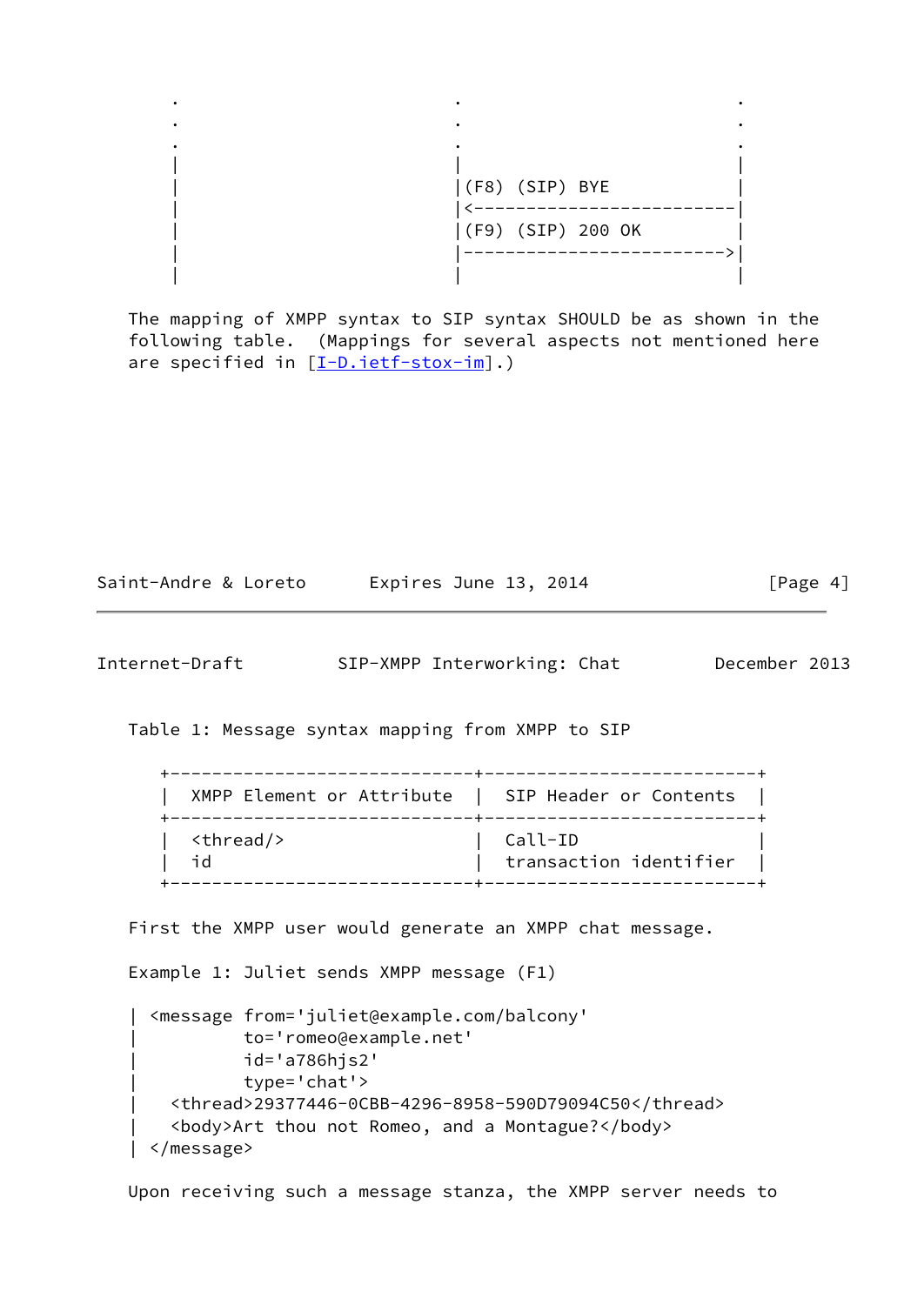

 The mapping of XMPP syntax to SIP syntax SHOULD be as shown in the following table. (Mappings for several aspects not mentioned here are specified in  $[I-D.iett-stox-im]$ .)

| Saint-Andre & Loreto | Expires June 13, 2014 | [Page 4] |
|----------------------|-----------------------|----------|
|----------------------|-----------------------|----------|

Internet-Draft SIP-XMPP Interworking: Chat December 2013

Table 1: Message syntax mapping from XMPP to SIP

| XMPP Element or Attribute   SIP Header or Contents |                        |
|----------------------------------------------------|------------------------|
| <thread></thread>                                  | Call-ID                |
| ח ר                                                | transaction identifier |

First the XMPP user would generate an XMPP chat message.

Example 1: Juliet sends XMPP message (F1)

```
 | <message from='juliet@example.com/balcony'
            | to='romeo@example.net'
            | id='a786hjs2'
            | type='chat'>
    | <thread>29377446-0CBB-4296-8958-590D79094C50</thread>
    | <body>Art thou not Romeo, and a Montague?</body>
 | </message>
```
Upon receiving such a message stanza, the XMPP server needs to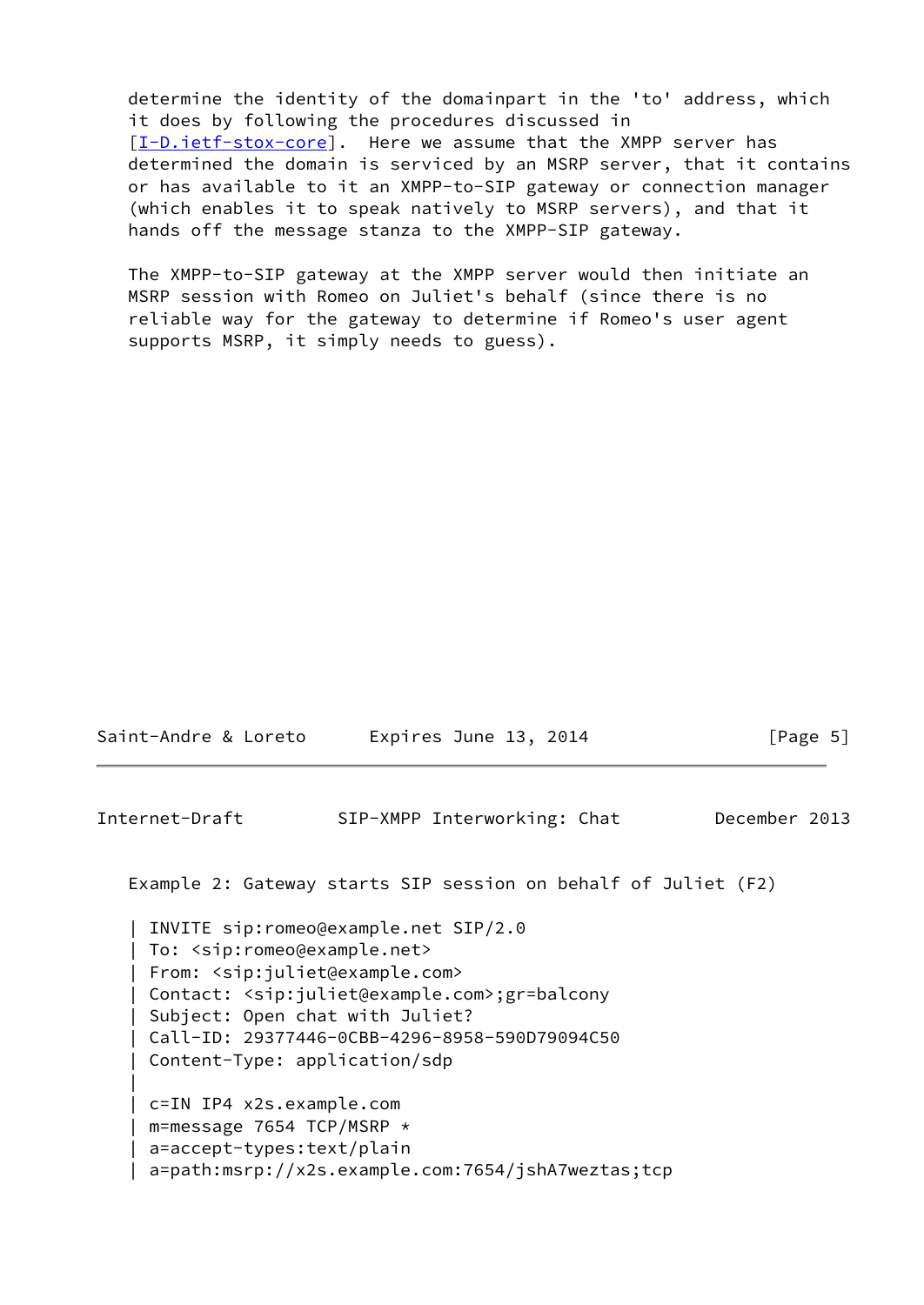determine the identity of the domainpart in the 'to' address, which it does by following the procedures discussed in [\[I-D.ietf-stox-core\]](#page-17-3). Here we assume that the XMPP server has determined the domain is serviced by an MSRP server, that it contains or has available to it an XMPP-to-SIP gateway or connection manager (which enables it to speak natively to MSRP servers), and that it hands off the message stanza to the XMPP-SIP gateway.

 The XMPP-to-SIP gateway at the XMPP server would then initiate an MSRP session with Romeo on Juliet's behalf (since there is no reliable way for the gateway to determine if Romeo's user agent supports MSRP, it simply needs to guess).

| Internet-Draft                                                                                                                                    | SIP-XMPP Interworking: Chat                                                                                                                                                                         | December 2013 |
|---------------------------------------------------------------------------------------------------------------------------------------------------|-----------------------------------------------------------------------------------------------------------------------------------------------------------------------------------------------------|---------------|
|                                                                                                                                                   | Example 2: Gateway starts SIP session on behalf of Juliet (F2)                                                                                                                                      |               |
| To: <sip:romeo@example.net><br/>From: <sip:juliet@example.com><br/>Content-Type: application/sdp</sip:juliet@example.com></sip:romeo@example.net> | INVITE sip:romeo@example.net SIP/2.0<br>Contact: <sip:juliet@example.com>;gr=balcony<br/>Subject: Open chat with Juliet?<br/>Call-ID: 29377446-0CBB-4296-8958-590D79094C50</sip:juliet@example.com> |               |
| c=IN IP4 x2s.example.com<br>m=message 7654 TCP/MSRP $\star$<br>a=accept-types:text/plain                                                          | a=path:msrp://x2s.example.com:7654/jshA7weztas;tcp                                                                                                                                                  |               |

Saint-Andre & Loreto Expires June 13, 2014 [Page 5]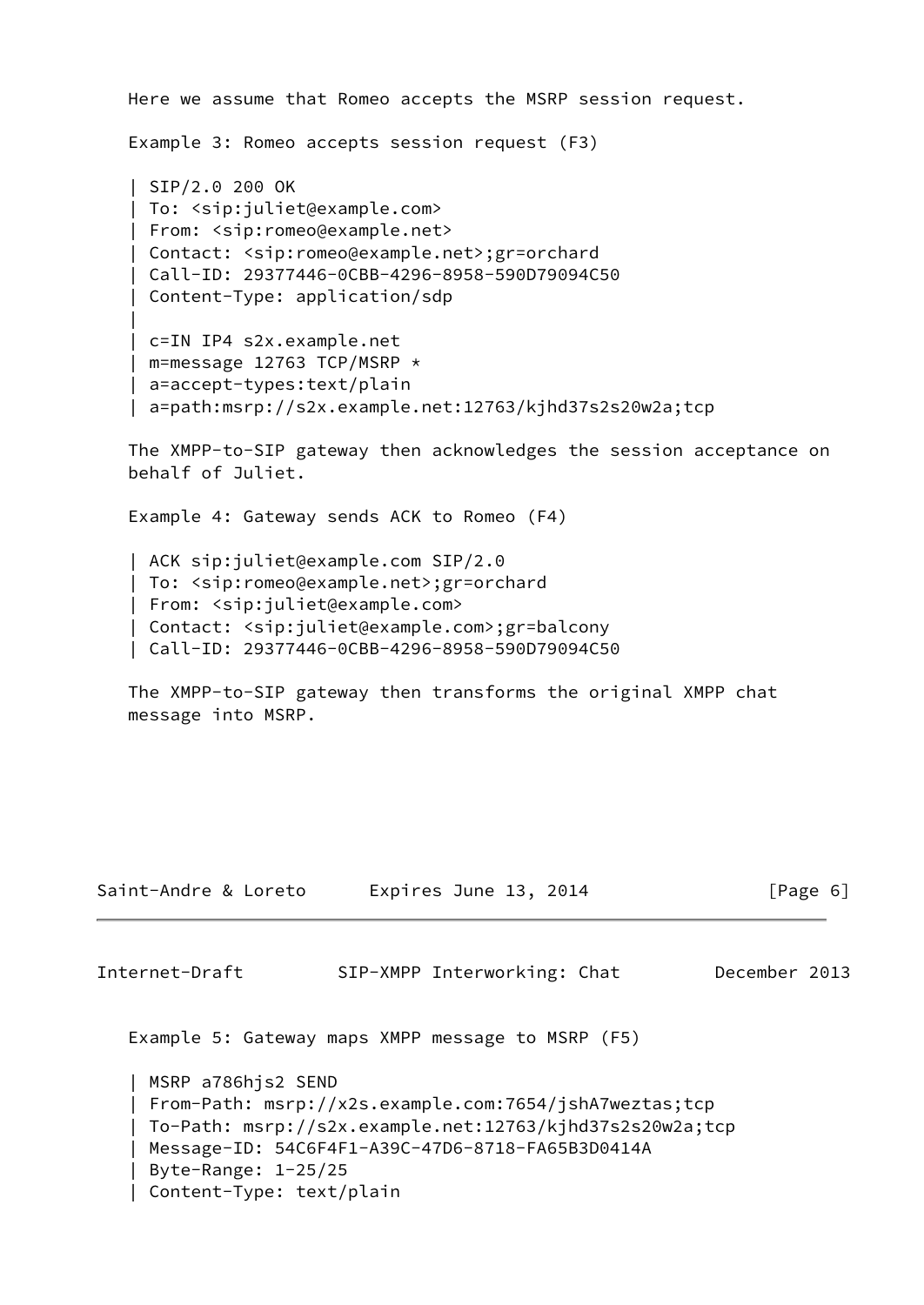Here we assume that Romeo accepts the MSRP session request. Example 3: Romeo accepts session request (F3) | SIP/2.0 200 OK | To: <sip:juliet@example.com> | From: <sip:romeo@example.net> | Contact: <sip:romeo@example.net>;gr=orchard | Call-ID: 29377446-0CBB-4296-8958-590D79094C50 | Content-Type: application/sdp | | c=IN IP4 s2x.example.net | m=message 12763 TCP/MSRP \* | a=accept-types:text/plain | a=path:msrp://s2x.example.net:12763/kjhd37s2s20w2a;tcp

 The XMPP-to-SIP gateway then acknowledges the session acceptance on behalf of Juliet.

Example 4: Gateway sends ACK to Romeo (F4)

 | ACK sip:juliet@example.com SIP/2.0 | To: <sip:romeo@example.net>;gr=orchard | From: <sip:juliet@example.com> | Contact: <sip:juliet@example.com>;gr=balcony | Call-ID: 29377446-0CBB-4296-8958-590D79094C50

 The XMPP-to-SIP gateway then transforms the original XMPP chat message into MSRP.

| Saint-Andre & Loreto                                                  | Expires June 13, 2014                                                                                                                                                  | $\lceil \text{Page } 6 \rceil$ |
|-----------------------------------------------------------------------|------------------------------------------------------------------------------------------------------------------------------------------------------------------------|--------------------------------|
| Internet-Draft                                                        | SIP-XMPP Interworking: Chat                                                                                                                                            | December 2013                  |
|                                                                       | Example 5: Gateway maps XMPP message to MSRP (F5)                                                                                                                      |                                |
| MSRP a786hjs2 SEND<br>Byte-Range: 1-25/25<br>Content-Type: text/plain | From-Path: msrp://x2s.example.com:7654/jshA7weztas;tcp<br>To-Path: msrp://s2x.example.net:12763/kjhd37s2s20w2a;tcp<br>Message-ID: 54C6F4F1-A39C-47D6-8718-FA65B3D0414A |                                |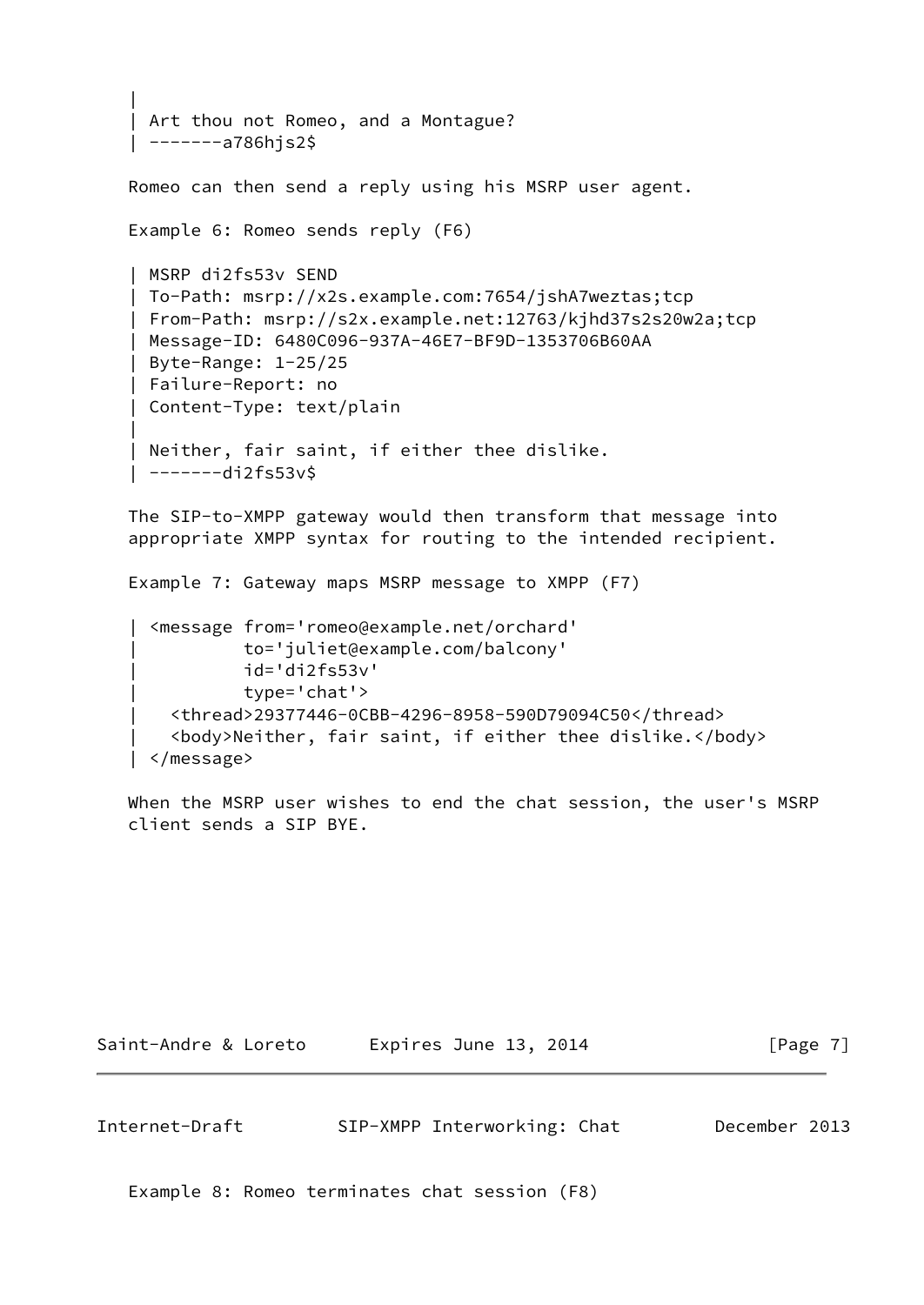```
 |
    Art thou not Romeo, and a Montague?
    | -------a786hjs2$
   Romeo can then send a reply using his MSRP user agent.
   Example 6: Romeo sends reply (F6)
    | MSRP di2fs53v SEND
    | To-Path: msrp://x2s.example.com:7654/jshA7weztas;tcp
    | From-Path: msrp://s2x.example.net:12763/kjhd37s2s20w2a;tcp
    | Message-ID: 6480C096-937A-46E7-BF9D-1353706B60AA
    | Byte-Range: 1-25/25
    | Failure-Report: no
    | Content-Type: text/plain
 |
    Neither, fair saint, if either thee dislike.
    | -------di2fs53v$
```
 The SIP-to-XMPP gateway would then transform that message into appropriate XMPP syntax for routing to the intended recipient.

Example 7: Gateway maps MSRP message to XMPP (F7)

```
 | <message from='romeo@example.net/orchard'
           | to='juliet@example.com/balcony'
           | id='di2fs53v'
           | type='chat'>
   | <thread>29377446-0CBB-4296-8958-590D79094C50</thread>
   | <body>Neither, fair saint, if either thee dislike.</body>
 | </message>
```
 When the MSRP user wishes to end the chat session, the user's MSRP client sends a SIP BYE.

Saint-Andre & Loreto Expires June 13, 2014 [Page 7]

<span id="page-7-0"></span>Internet-Draft SIP-XMPP Interworking: Chat December 2013

Example 8: Romeo terminates chat session (F8)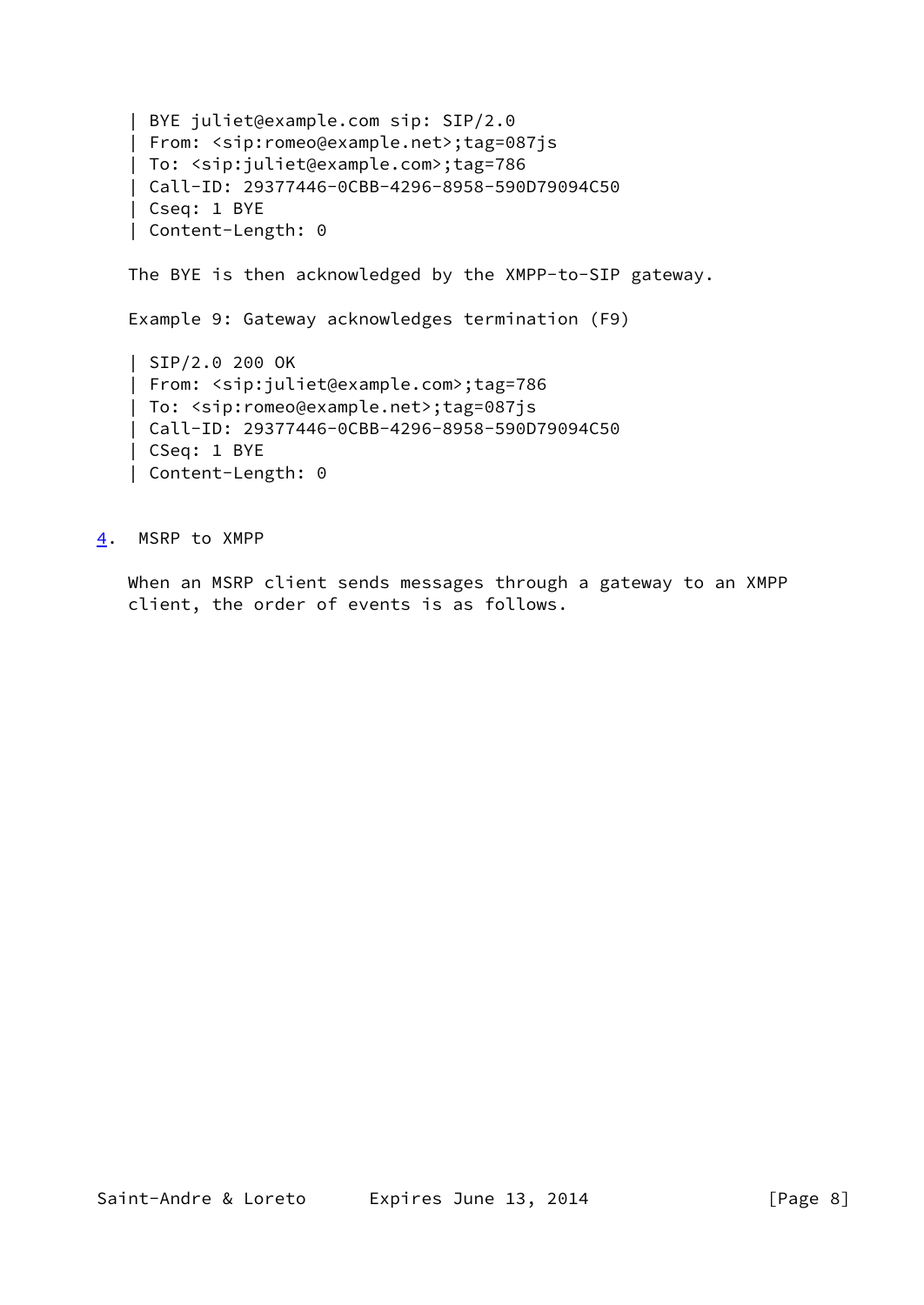```
 | BYE juliet@example.com sip: SIP/2.0
 | From: <sip:romeo@example.net>;tag=087js
 | To: <sip:juliet@example.com>;tag=786
 | Call-ID: 29377446-0CBB-4296-8958-590D79094C50
 | Cseq: 1 BYE
 | Content-Length: 0
 The BYE is then acknowledged by the XMPP-to-SIP gateway.
 Example 9: Gateway acknowledges termination (F9)
 | SIP/2.0 200 OK
 | From: <sip:juliet@example.com>;tag=786
 | To: <sip:romeo@example.net>;tag=087js
 | Call-ID: 29377446-0CBB-4296-8958-590D79094C50
 | CSeq: 1 BYE
 | Content-Length: 0
```
<span id="page-8-0"></span>[4](#page-8-0). MSRP to XMPP

 When an MSRP client sends messages through a gateway to an XMPP client, the order of events is as follows.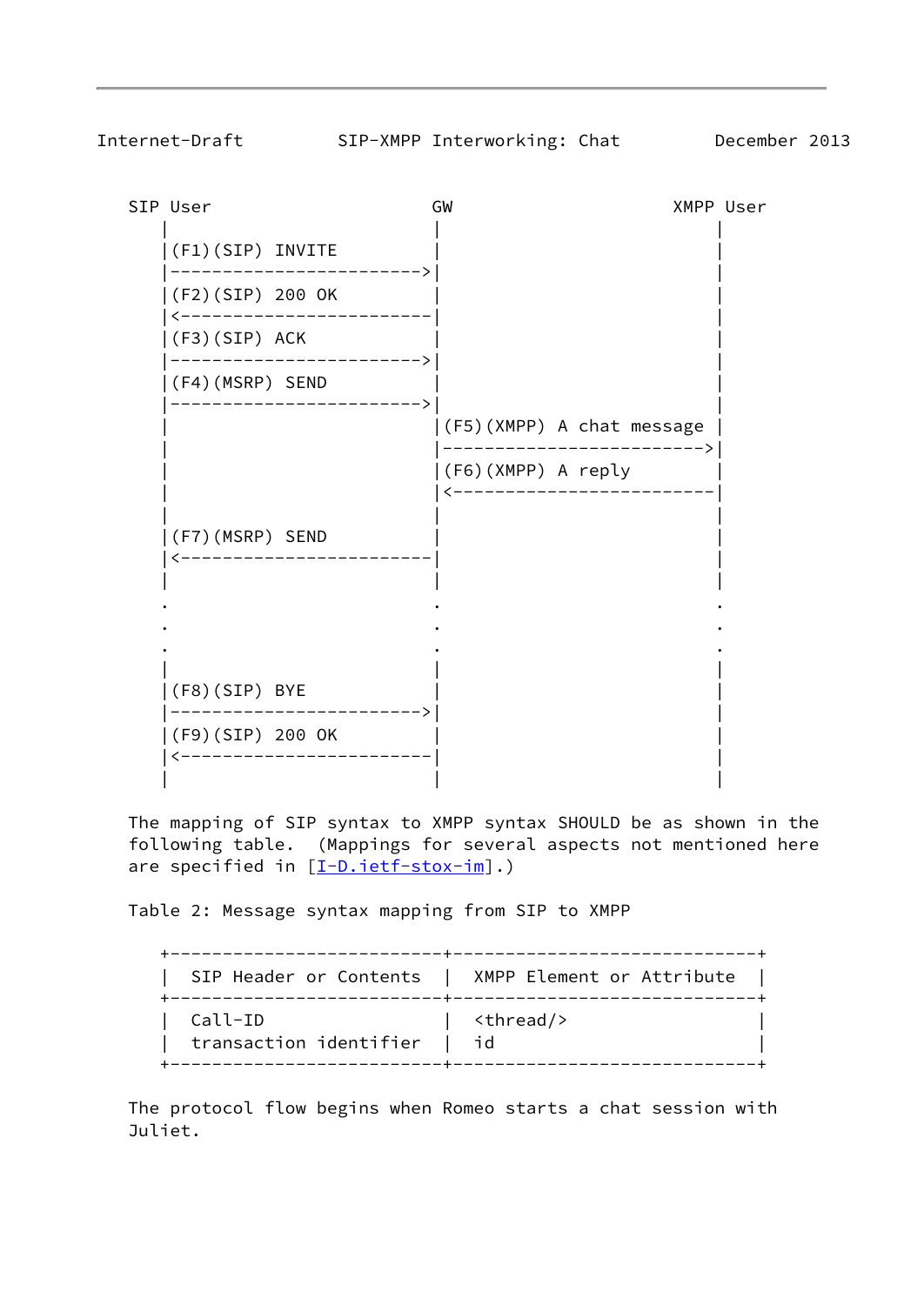SIP User GW XMPP User | | |  $|(F1)(SIP)$  INVITE |------------------------>| |  $|(F2)(SIP)$  200 OK |<------------------------| |  $|(F3)(SIP)$  ACK |------------------------>| |  $|(F4)(MSRP)$  SEND |------------------------>| | | |(F5)(XMPP) A chat message | | |------------------------->| | |(F6)(XMPP) A reply | | |<-------------------------| | | |  $|(F7)(MSRP)$  SEND |<------------------------| | | | | . . . . . . . . . | | | |(F8)(SIP) BYE | | |------------------------>| | |(F9)(SIP) 200 OK | | |<------------------------| | | | |

 The mapping of SIP syntax to XMPP syntax SHOULD be as shown in the following table. (Mappings for several aspects not mentioned here are specified in  $[I-D.iett-stox-im]$ .)

Table 2: Message syntax mapping from SIP to XMPP

|                        | SIP Header or Contents   XMPP Element or Attribute<br>.-----+---------------------------- |
|------------------------|-------------------------------------------------------------------------------------------|
| Call-ID                | <thread></thread>                                                                         |
| transaction identifier | id                                                                                        |

 The protocol flow begins when Romeo starts a chat session with Juliet.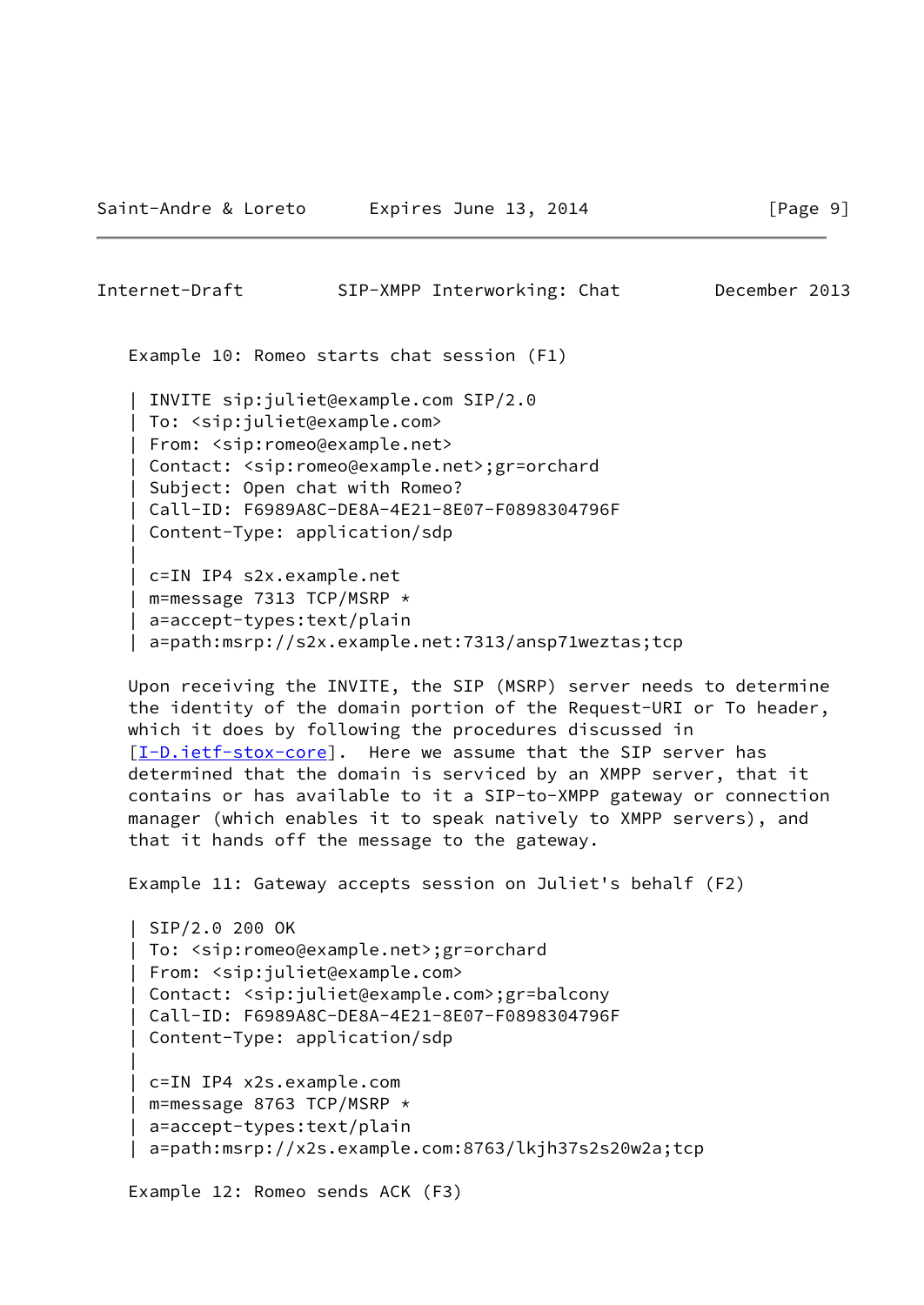|

| Internet-Draft | SIP-XMPP Interworking: Chat                | December 2013 |
|----------------|--------------------------------------------|---------------|
|                | Example 10: Romeo starts chat session (F1) |               |

 | INVITE sip:juliet@example.com SIP/2.0 | To: <sip:juliet@example.com> | From: <sip:romeo@example.net> | Contact: <sip:romeo@example.net>;gr=orchard | Subject: Open chat with Romeo? | Call-ID: F6989A8C-DE8A-4E21-8E07-F0898304796F | Content-Type: application/sdp | c=IN IP4 s2x.example.net

 | m=message 7313 TCP/MSRP \* | a=accept-types:text/plain | a=path:msrp://s2x.example.net:7313/ansp71weztas;tcp

 Upon receiving the INVITE, the SIP (MSRP) server needs to determine the identity of the domain portion of the Request-URI or To header, which it does by following the procedures discussed in [\[I-D.ietf-stox-core\]](#page-17-3). Here we assume that the SIP server has determined that the domain is serviced by an XMPP server, that it contains or has available to it a SIP-to-XMPP gateway or connection manager (which enables it to speak natively to XMPP servers), and that it hands off the message to the gateway.

Example 11: Gateway accepts session on Juliet's behalf (F2)

```
 | SIP/2.0 200 OK
    | To: <sip:romeo@example.net>;gr=orchard
    | From: <sip:juliet@example.com>
    | Contact: <sip:juliet@example.com>;gr=balcony
    | Call-ID: F6989A8C-DE8A-4E21-8E07-F0898304796F
    | Content-Type: application/sdp
 |
    | c=IN IP4 x2s.example.com
    | m=message 8763 TCP/MSRP *
    | a=accept-types:text/plain
    | a=path:msrp://x2s.example.com:8763/lkjh37s2s20w2a;tcp
```
Example 12: Romeo sends ACK (F3)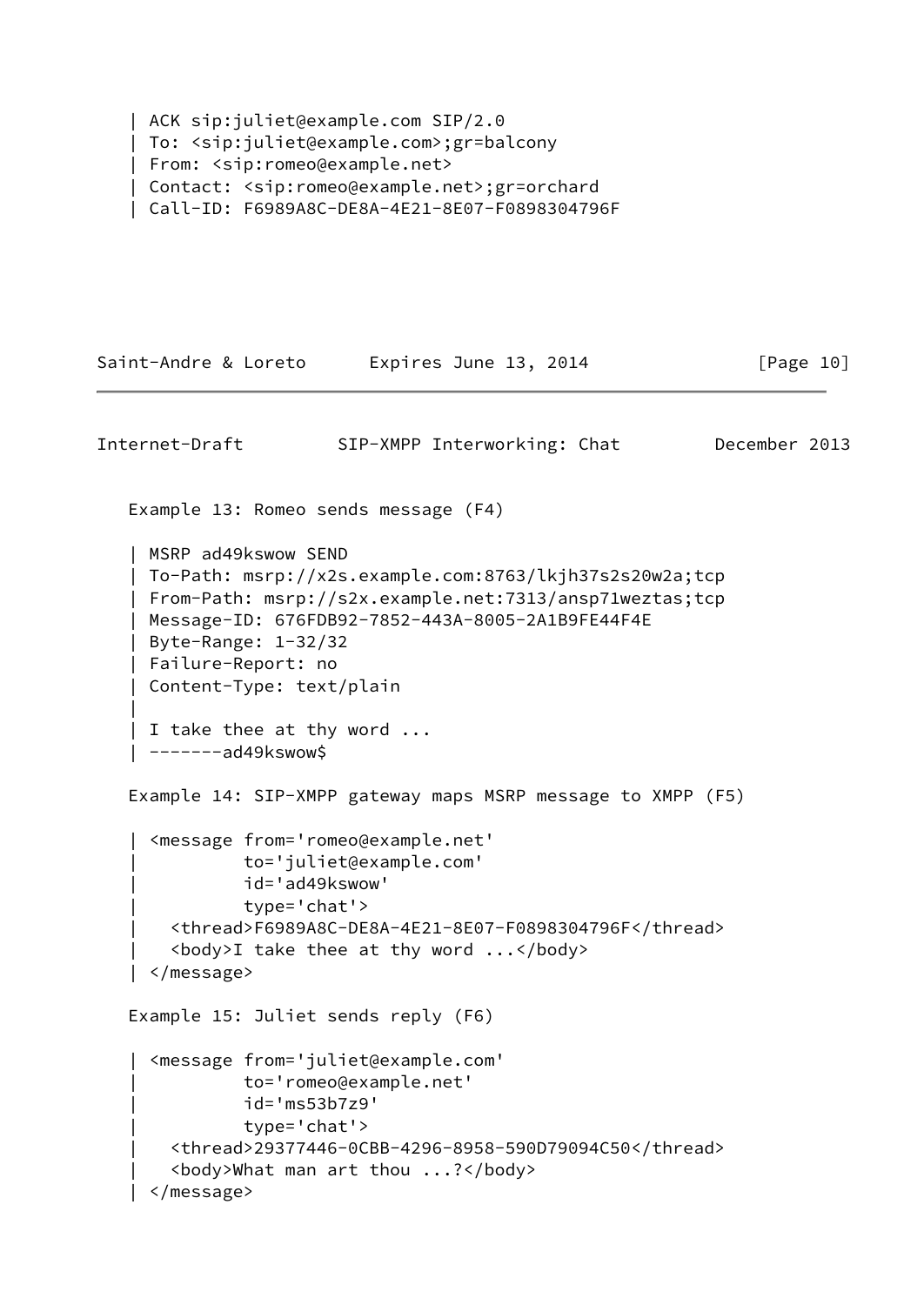```
 | ACK sip:juliet@example.com SIP/2.0
 | To: <sip:juliet@example.com>;gr=balcony
 | From: <sip:romeo@example.net>
 | Contact: <sip:romeo@example.net>;gr=orchard
 | Call-ID: F6989A8C-DE8A-4E21-8E07-F0898304796F
```

```
Saint-Andre & Loreto Expires June 13, 2014 [Page 10]
Internet-Draft SIP-XMPP Interworking: Chat December 2013
    Example 13: Romeo sends message (F4)
    | MSRP ad49kswow SEND
    | To-Path: msrp://x2s.example.com:8763/lkjh37s2s20w2a;tcp
    | From-Path: msrp://s2x.example.net:7313/ansp71weztas;tcp
    | Message-ID: 676FDB92-7852-443A-8005-2A1B9FE44F4E
    | Byte-Range: 1-32/32
    | Failure-Report: no
    | Content-Type: text/plain
 |
    | I take thee at thy word ...
    | -------ad49kswow$
    Example 14: SIP-XMPP gateway maps MSRP message to XMPP (F5)
      | <message from='romeo@example.net'
               | to='juliet@example.com'
               | id='ad49kswow'
               | type='chat'>
        | <thread>F6989A8C-DE8A-4E21-8E07-F0898304796F</thread>
       \langle body>I take thee at thy word \ldots | </message>
    Example 15: Juliet sends reply (F6)
      | <message from='juliet@example.com'
               | to='romeo@example.net'
               | id='ms53b7z9'
               | type='chat'>
        | <thread>29377446-0CBB-4296-8958-590D79094C50</thread>
        | <body>What man art thou ...?</body>
      | </message>
```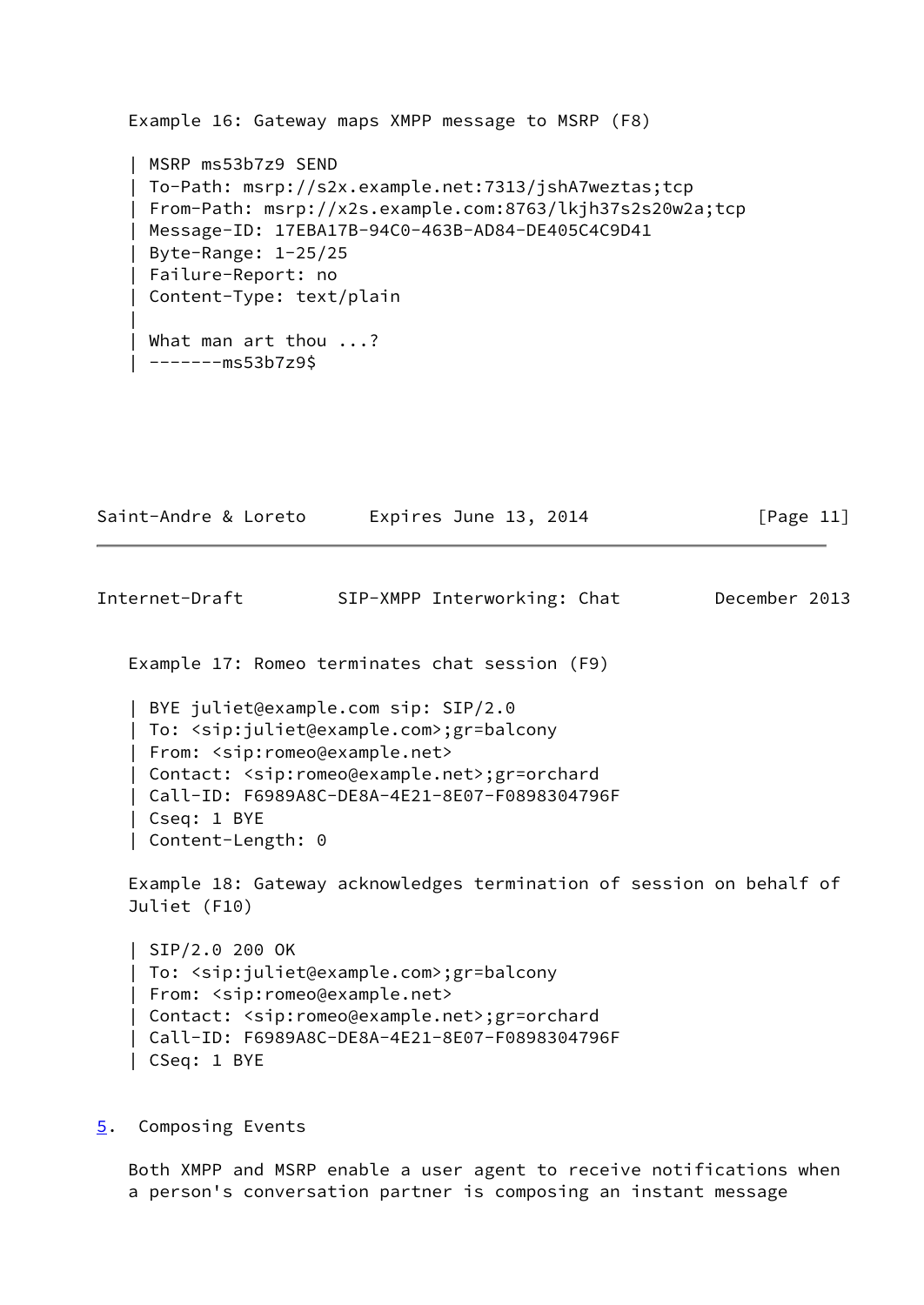```
 Example 16: Gateway maps XMPP message to MSRP (F8)
    | MSRP ms53b7z9 SEND
    | To-Path: msrp://s2x.example.net:7313/jshA7weztas;tcp
    | From-Path: msrp://x2s.example.com:8763/lkjh37s2s20w2a;tcp
    | Message-ID: 17EBA17B-94C0-463B-AD84-DE405C4C9D41
    | Byte-Range: 1-25/25
    | Failure-Report: no
    | Content-Type: text/plain
 |
    | What man art thou ...?
    | -------ms53b7z9$
```
<span id="page-12-1"></span>

| Saint-Andre & Loreto<br>Expires June 13, 2014 | [Page 11] |
|-----------------------------------------------|-----------|
|-----------------------------------------------|-----------|

Example 17: Romeo terminates chat session (F9)

 | BYE juliet@example.com sip: SIP/2.0 | To: <sip:juliet@example.com>;gr=balcony | From: <sip:romeo@example.net> | Contact: <sip:romeo@example.net>;gr=orchard | Call-ID: F6989A8C-DE8A-4E21-8E07-F0898304796F | Cseq: 1 BYE | Content-Length: 0

 Example 18: Gateway acknowledges termination of session on behalf of Juliet (F10)

 | SIP/2.0 200 OK | To: <sip:juliet@example.com>;gr=balcony | From: <sip:romeo@example.net> | Contact: <sip:romeo@example.net>;gr=orchard | Call-ID: F6989A8C-DE8A-4E21-8E07-F0898304796F | CSeq: 1 BYE

<span id="page-12-0"></span>[5](#page-12-0). Composing Events

 Both XMPP and MSRP enable a user agent to receive notifications when a person's conversation partner is composing an instant message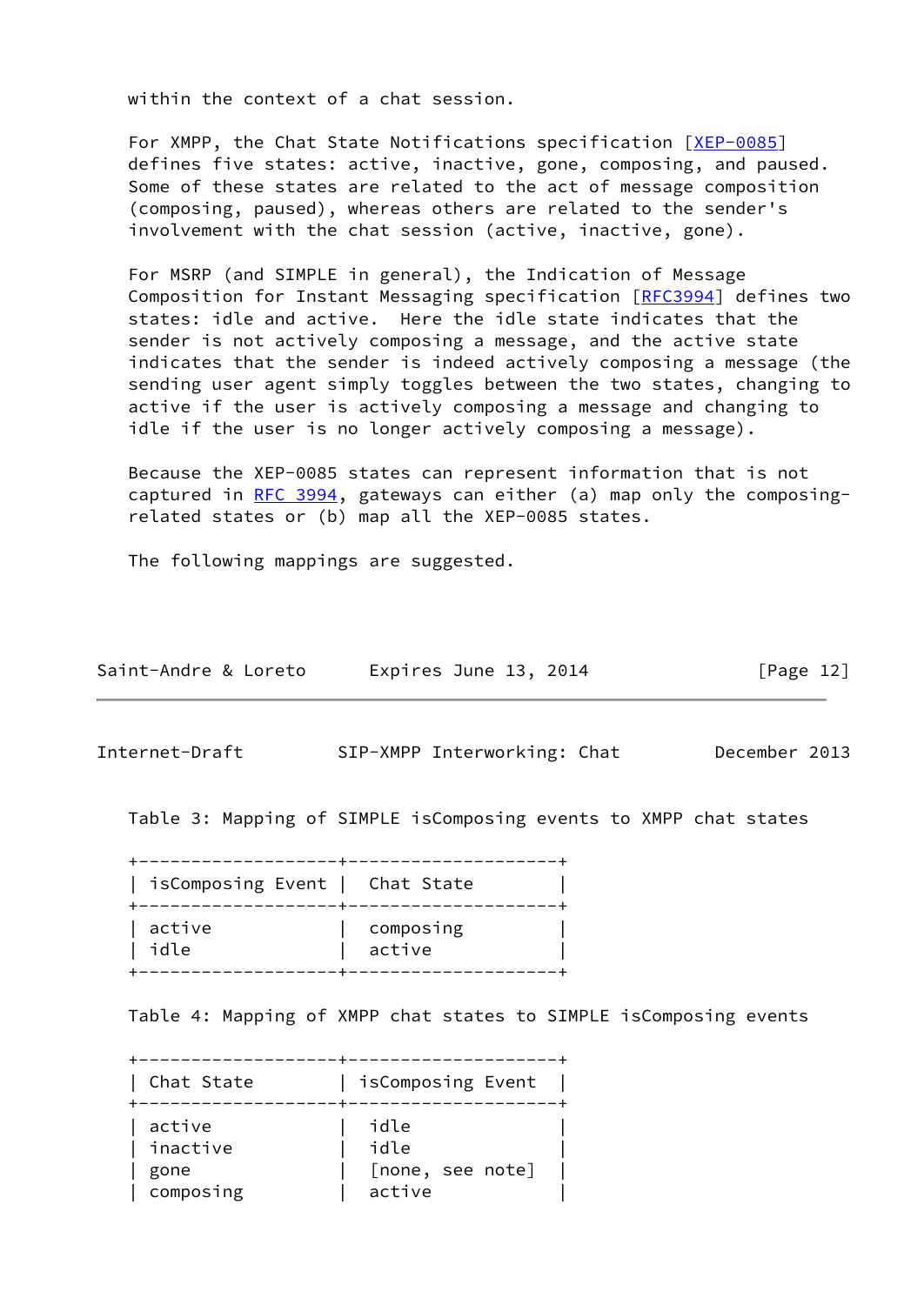within the context of a chat session.

 For XMPP, the Chat State Notifications specification [\[XEP-0085](#page-17-4)] defines five states: active, inactive, gone, composing, and paused. Some of these states are related to the act of message composition (composing, paused), whereas others are related to the sender's involvement with the chat session (active, inactive, gone).

 For MSRP (and SIMPLE in general), the Indication of Message Composition for Instant Messaging specification [\[RFC3994](https://datatracker.ietf.org/doc/pdf/rfc3994)] defines two states: idle and active. Here the idle state indicates that the sender is not actively composing a message, and the active state indicates that the sender is indeed actively composing a message (the sending user agent simply toggles between the two states, changing to active if the user is actively composing a message and changing to idle if the user is no longer actively composing a message).

 Because the XEP-0085 states can represent information that is not captured in [RFC 3994,](https://datatracker.ietf.org/doc/pdf/rfc3994) gateways can either (a) map only the composing related states or (b) map all the XEP-0085 states.

The following mappings are suggested.

| Saint-Andre & Loreto | Expires June 13, 2014 | [Page 12] |
|----------------------|-----------------------|-----------|
|----------------------|-----------------------|-----------|

Internet-Draft SIP-XMPP Interworking: Chat December 2013

Table 3: Mapping of SIMPLE isComposing events to XMPP chat states

 +-------------------+--------------------+ | isComposing Event | Chat State | +-------------------+--------------------+ | active | composing | | idle | active | +-------------------+--------------------+

Table 4: Mapping of XMPP chat states to SIMPLE isComposing events

 +-------------------+--------------------+ | Chat State | isComposing Event | +-------------------+--------------------+ | active | idle | | inactive | idle | | gone | [none, see note] | | composing | active |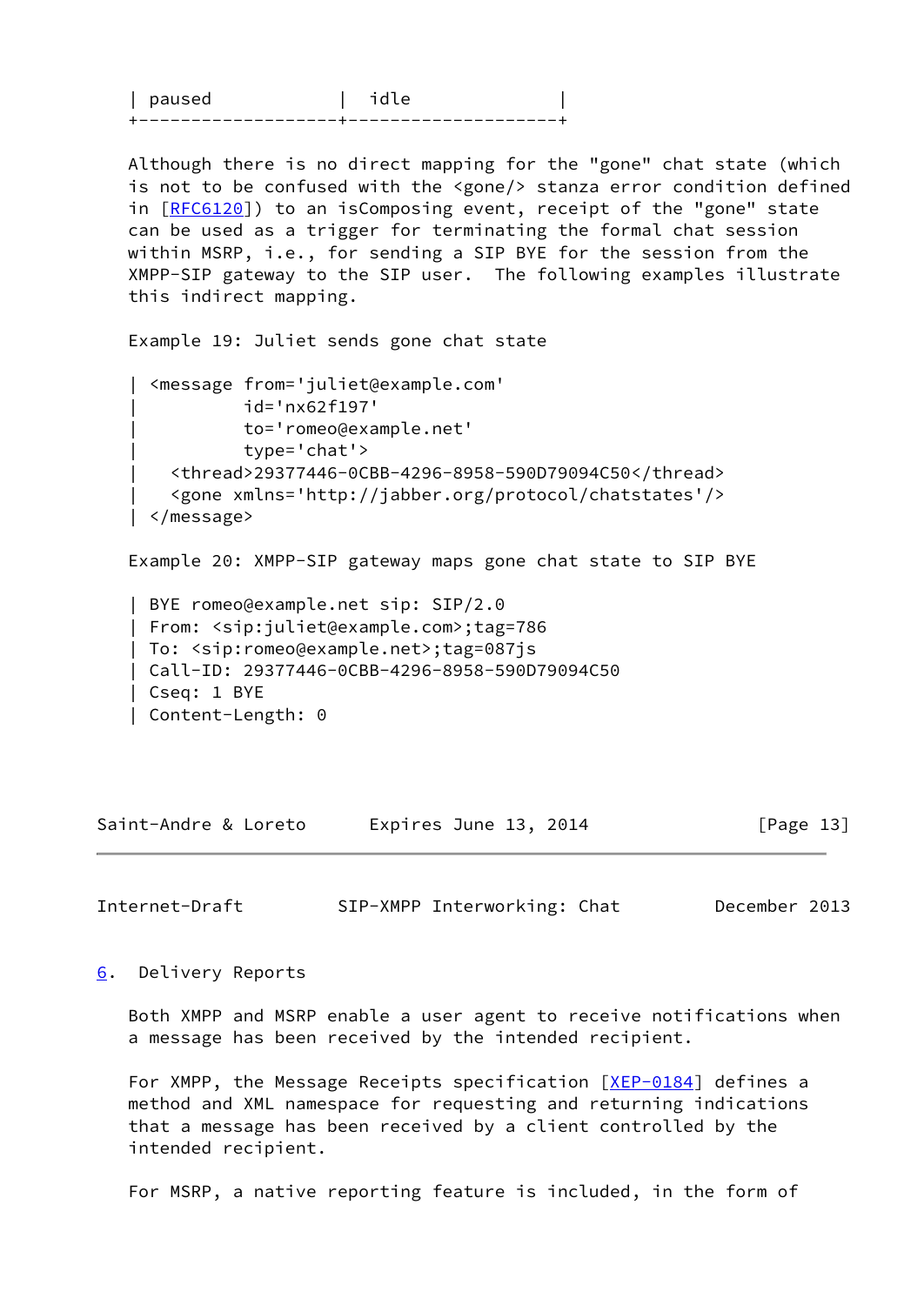| nau C |  |
|-------|--|
|       |  |

 Although there is no direct mapping for the "gone" chat state (which is not to be confused with the <gone/> stanza error condition defined in [[RFC6120\]](https://datatracker.ietf.org/doc/pdf/rfc6120)) to an isComposing event, receipt of the "gone" state can be used as a trigger for terminating the formal chat session within MSRP, i.e., for sending a SIP BYE for the session from the XMPP-SIP gateway to the SIP user. The following examples illustrate this indirect mapping.

Example 19: Juliet sends gone chat state

```
 | <message from='juliet@example.com'
           | id='nx62f197'
           | to='romeo@example.net'
           | type='chat'>
   | <thread>29377446-0CBB-4296-8958-590D79094C50</thread>
    | <gone xmlns='http://jabber.org/protocol/chatstates'/>
 | </message>
```
Example 20: XMPP-SIP gateway maps gone chat state to SIP BYE

```
 | BYE romeo@example.net sip: SIP/2.0
 | From: <sip:juliet@example.com>;tag=786
 | To: <sip:romeo@example.net>;tag=087js
 | Call-ID: 29377446-0CBB-4296-8958-590D79094C50
 | Cseq: 1 BYE
 | Content-Length: 0
```
Saint-Andre & Loreto Expires June 13, 2014 [Page 13]

<span id="page-14-1"></span>Internet-Draft SIP-XMPP Interworking: Chat December 2013

<span id="page-14-0"></span>[6](#page-14-0). Delivery Reports

 Both XMPP and MSRP enable a user agent to receive notifications when a message has been received by the intended recipient.

For XMPP, the Message Receipts specification [\[XEP-0184](#page-17-5)] defines a method and XML namespace for requesting and returning indications that a message has been received by a client controlled by the intended recipient.

For MSRP, a native reporting feature is included, in the form of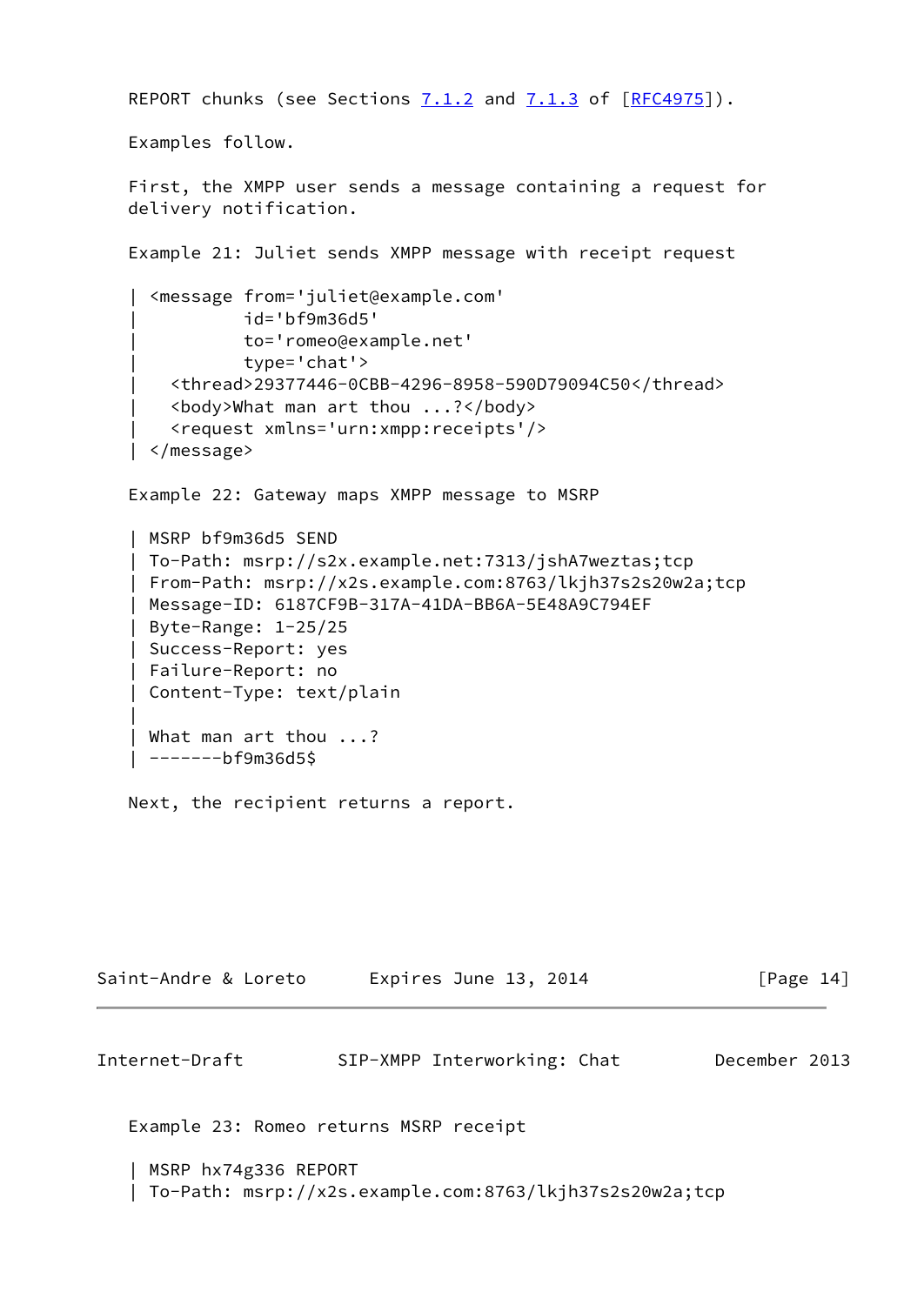```
REPORT chunks (see Sections 7.1.2 and 7.1.3 of [REC4975]).
   Examples follow.
    First, the XMPP user sends a message containing a request for
   delivery notification.
   Example 21: Juliet sends XMPP message with receipt request
     | <message from='juliet@example.com'
               | id='bf9m36d5'
               | to='romeo@example.net'
               | type='chat'>
        | <thread>29377446-0CBB-4296-8958-590D79094C50</thread>
        | <body>What man art thou ...?</body>
        | <request xmlns='urn:xmpp:receipts'/>
     | </message>
   Example 22: Gateway maps XMPP message to MSRP
    | MSRP bf9m36d5 SEND
    | To-Path: msrp://s2x.example.net:7313/jshA7weztas;tcp
    | From-Path: msrp://x2s.example.com:8763/lkjh37s2s20w2a;tcp
    | Message-ID: 6187CF9B-317A-41DA-BB6A-5E48A9C794EF
    | Byte-Range: 1-25/25
    | Success-Report: yes
    | Failure-Report: no
    | Content-Type: text/plain
 |
    | What man art thou ...?
    | -------bf9m36d5$
   Next, the recipient returns a report.
```
<span id="page-15-0"></span>

| Saint-Andre & Loreto | Expires June 13, 2014 | [Page 14] |
|----------------------|-----------------------|-----------|
|----------------------|-----------------------|-----------|

Example 23: Romeo returns MSRP receipt

 | MSRP hx74g336 REPORT | To-Path: msrp://x2s.example.com:8763/lkjh37s2s20w2a;tcp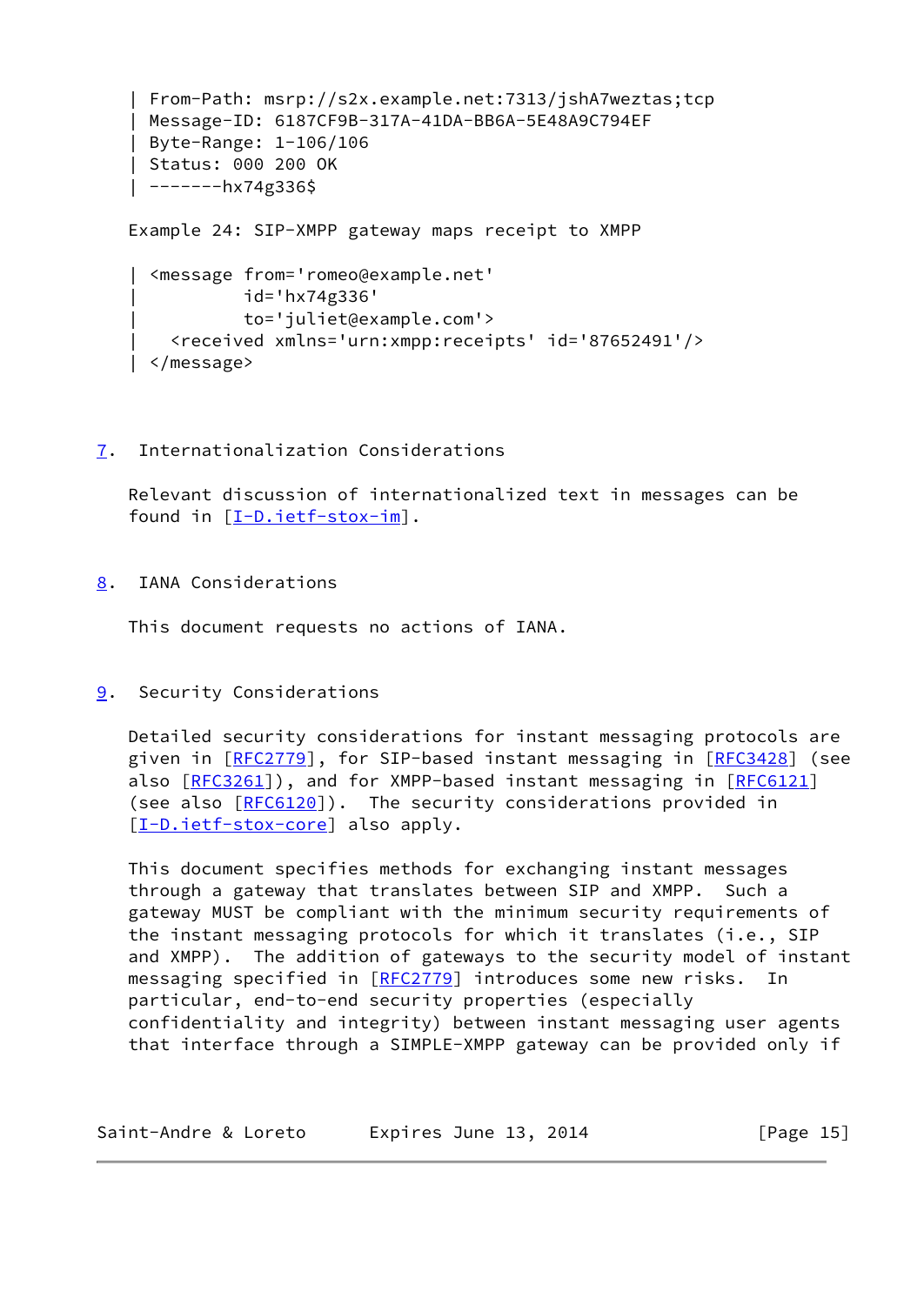```
 | From-Path: msrp://s2x.example.net:7313/jshA7weztas;tcp
 | Message-ID: 6187CF9B-317A-41DA-BB6A-5E48A9C794EF
 | Byte-Range: 1-106/106
 | Status: 000 200 OK
 | -------hx74g336$
 Example 24: SIP-XMPP gateway maps receipt to XMPP
   | <message from='romeo@example.net'
            | id='hx74g336'
            | to='juliet@example.com'>
     | <received xmlns='urn:xmpp:receipts' id='87652491'/>
```
| </message>

## <span id="page-16-0"></span>[7](#page-16-0). Internationalization Considerations

 Relevant discussion of internationalized text in messages can be found in [\[I-D.ietf-stox-im](#page-18-3)].

<span id="page-16-1"></span>[8](#page-16-1). IANA Considerations

This document requests no actions of IANA.

<span id="page-16-2"></span>[9](#page-16-2). Security Considerations

 Detailed security considerations for instant messaging protocols are given in [\[RFC2779](https://datatracker.ietf.org/doc/pdf/rfc2779)], for SIP-based instant messaging in [\[RFC3428](https://datatracker.ietf.org/doc/pdf/rfc3428)] (see also [\[RFC3261](https://datatracker.ietf.org/doc/pdf/rfc3261)]), and for XMPP-based instant messaging in [\[RFC6121](https://datatracker.ietf.org/doc/pdf/rfc6121)] (see also  $[REC6120]$ ). The security considerations provided in [\[I-D.ietf-stox-core\]](#page-17-3) also apply.

 This document specifies methods for exchanging instant messages through a gateway that translates between SIP and XMPP. Such a gateway MUST be compliant with the minimum security requirements of the instant messaging protocols for which it translates (i.e., SIP and XMPP). The addition of gateways to the security model of instant messaging specified in [\[RFC2779](https://datatracker.ietf.org/doc/pdf/rfc2779)] introduces some new risks. In particular, end-to-end security properties (especially confidentiality and integrity) between instant messaging user agents that interface through a SIMPLE-XMPP gateway can be provided only if

| Saint-Andre & Loreto | Expires June 13, 2014 | [Page 15] |
|----------------------|-----------------------|-----------|
|----------------------|-----------------------|-----------|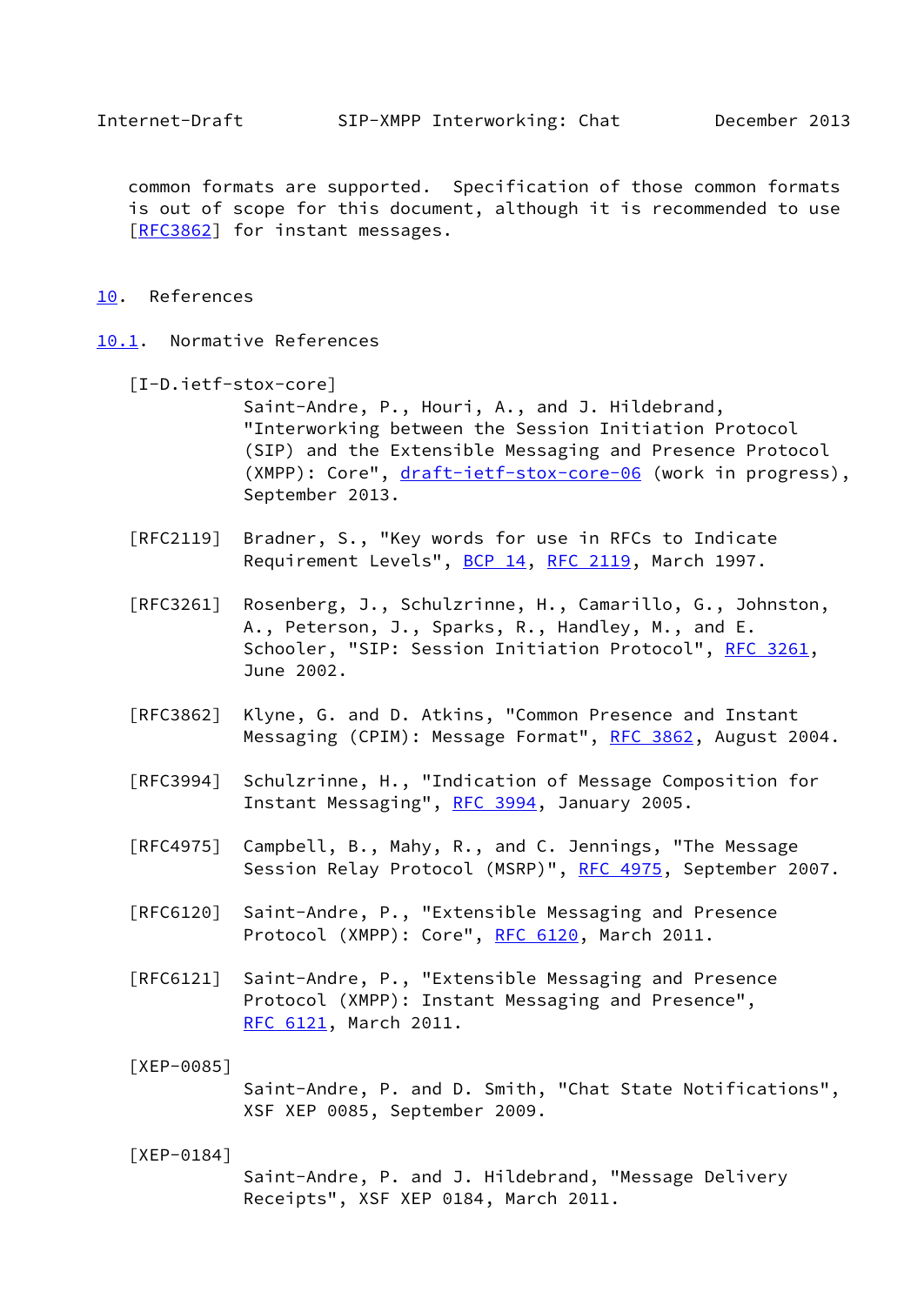<span id="page-17-1"></span> common formats are supported. Specification of those common formats is out of scope for this document, although it is recommended to use [\[RFC3862](https://datatracker.ietf.org/doc/pdf/rfc3862)] for instant messages.

- <span id="page-17-0"></span>[10.](#page-17-0) References
- <span id="page-17-5"></span><span id="page-17-4"></span><span id="page-17-3"></span><span id="page-17-2"></span>[10.1](#page-17-2). Normative References
	- [I-D.ietf-stox-core] Saint-Andre, P., Houri, A., and J. Hildebrand, "Interworking between the Session Initiation Protocol (SIP) and the Extensible Messaging and Presence Protocol (XMPP): Core", [draft-ietf-stox-core-06](https://datatracker.ietf.org/doc/pdf/draft-ietf-stox-core-06) (work in progress), September 2013.
	- [RFC2119] Bradner, S., "Key words for use in RFCs to Indicate Requirement Levels", [BCP 14](https://datatracker.ietf.org/doc/pdf/bcp14), [RFC 2119](https://datatracker.ietf.org/doc/pdf/rfc2119), March 1997.
	- [RFC3261] Rosenberg, J., Schulzrinne, H., Camarillo, G., Johnston, A., Peterson, J., Sparks, R., Handley, M., and E. Schooler, "SIP: Session Initiation Protocol", [RFC 3261](https://datatracker.ietf.org/doc/pdf/rfc3261), June 2002.
	- [RFC3862] Klyne, G. and D. Atkins, "Common Presence and Instant Messaging (CPIM): Message Format", [RFC 3862](https://datatracker.ietf.org/doc/pdf/rfc3862), August 2004.
	- [RFC3994] Schulzrinne, H., "Indication of Message Composition for Instant Messaging", [RFC 3994,](https://datatracker.ietf.org/doc/pdf/rfc3994) January 2005.
	- [RFC4975] Campbell, B., Mahy, R., and C. Jennings, "The Message Session Relay Protocol (MSRP)", [RFC 4975,](https://datatracker.ietf.org/doc/pdf/rfc4975) September 2007.
	- [RFC6120] Saint-Andre, P., "Extensible Messaging and Presence Protocol (XMPP): Core", [RFC 6120,](https://datatracker.ietf.org/doc/pdf/rfc6120) March 2011.
	- [RFC6121] Saint-Andre, P., "Extensible Messaging and Presence Protocol (XMPP): Instant Messaging and Presence", [RFC 6121,](https://datatracker.ietf.org/doc/pdf/rfc6121) March 2011.
	- [XEP-0085] Saint-Andre, P. and D. Smith, "Chat State Notifications", XSF XEP 0085, September 2009.
	- [XEP-0184] Saint-Andre, P. and J. Hildebrand, "Message Delivery Receipts", XSF XEP 0184, March 2011.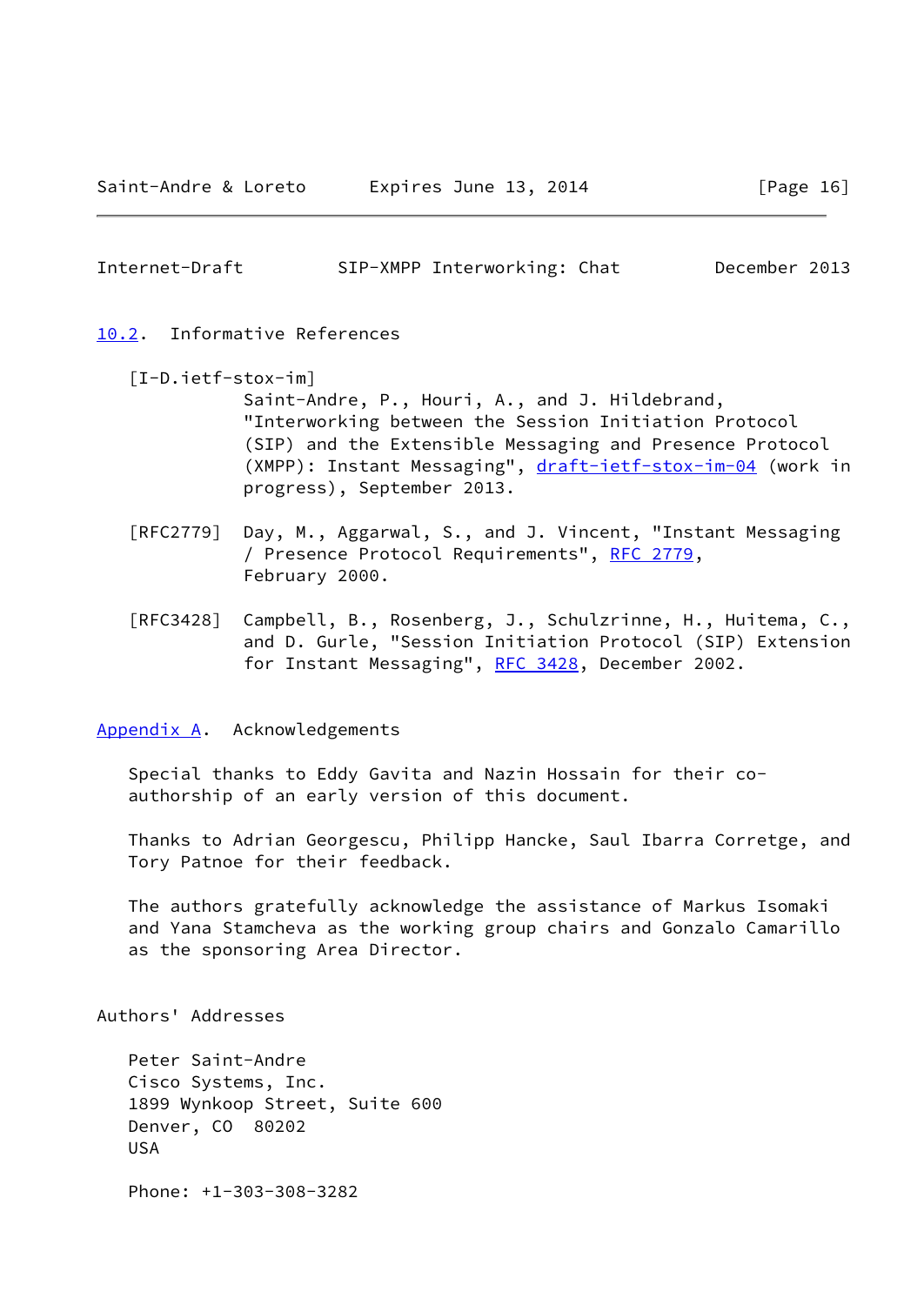#### <span id="page-18-1"></span><span id="page-18-0"></span>[10.2](#page-18-0). Informative References

- <span id="page-18-3"></span> [I-D.ietf-stox-im] Saint-Andre, P., Houri, A., and J. Hildebrand, "Interworking between the Session Initiation Protocol (SIP) and the Extensible Messaging and Presence Protocol (XMPP): Instant Messaging", [draft-ietf-stox-im-04](https://datatracker.ietf.org/doc/pdf/draft-ietf-stox-im-04) (work in progress), September 2013.
- [RFC2779] Day, M., Aggarwal, S., and J. Vincent, "Instant Messaging / Presence Protocol Requirements", [RFC 2779](https://datatracker.ietf.org/doc/pdf/rfc2779), February 2000.
- [RFC3428] Campbell, B., Rosenberg, J., Schulzrinne, H., Huitema, C., and D. Gurle, "Session Initiation Protocol (SIP) Extension for Instant Messaging", [RFC 3428,](https://datatracker.ietf.org/doc/pdf/rfc3428) December 2002.

<span id="page-18-2"></span>[Appendix A.](#page-18-2) Acknowledgements

 Special thanks to Eddy Gavita and Nazin Hossain for their co authorship of an early version of this document.

 Thanks to Adrian Georgescu, Philipp Hancke, Saul Ibarra Corretge, and Tory Patnoe for their feedback.

 The authors gratefully acknowledge the assistance of Markus Isomaki and Yana Stamcheva as the working group chairs and Gonzalo Camarillo as the sponsoring Area Director.

Authors' Addresses

 Peter Saint-Andre Cisco Systems, Inc. 1899 Wynkoop Street, Suite 600 Denver, CO 80202 USA

Phone: +1-303-308-3282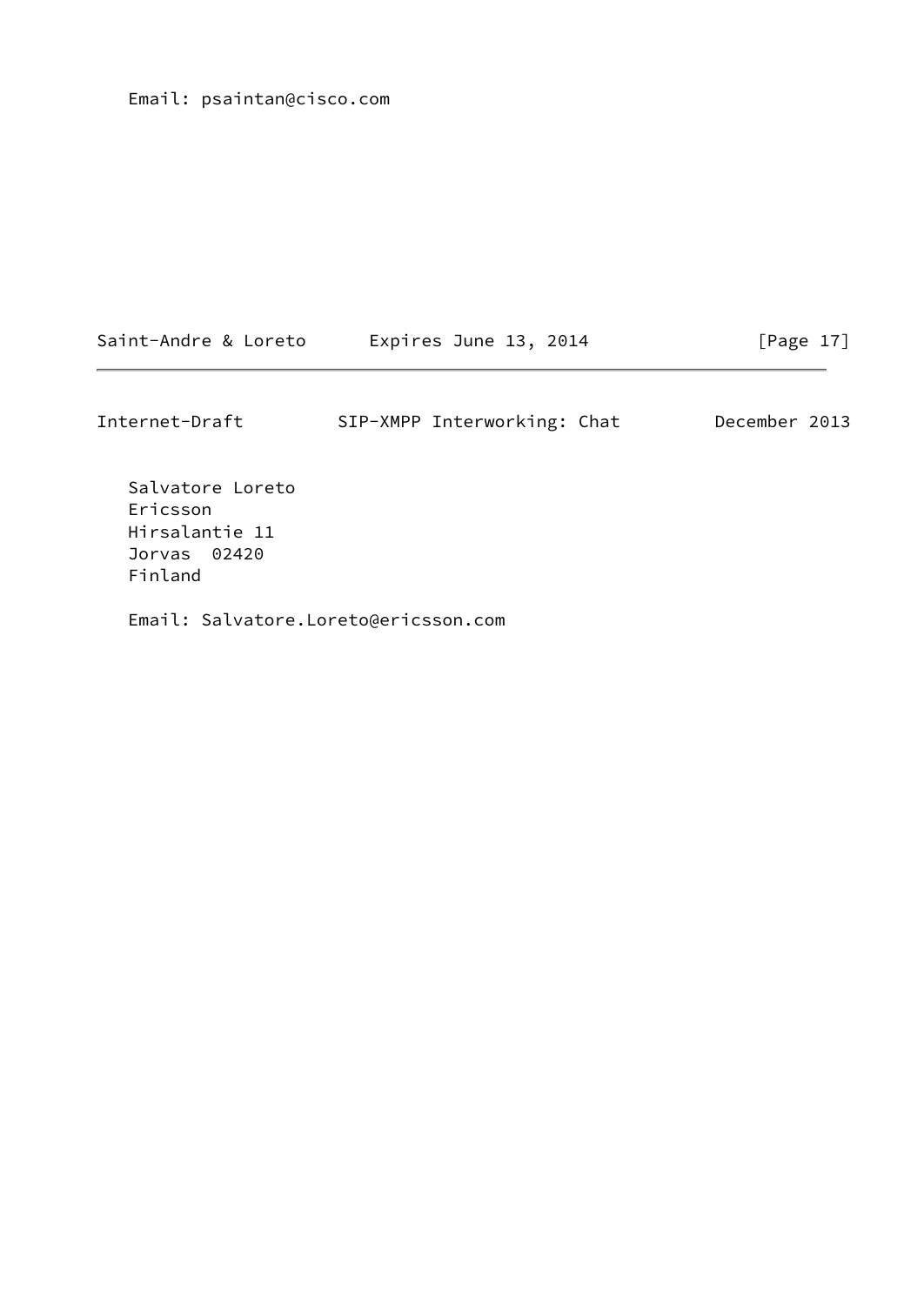Email: psaintan@cisco.com

| Saint-Andre & Loreto | Expires June 13, 2014 |  |  | [Page 17] |  |
|----------------------|-----------------------|--|--|-----------|--|
|----------------------|-----------------------|--|--|-----------|--|

Internet-Draft SIP-XMPP Interworking: Chat December 2013

 Salvatore Loreto Ericsson Hirsalantie 11 Jorvas 02420 Finland

Email: Salvatore.Loreto@ericsson.com